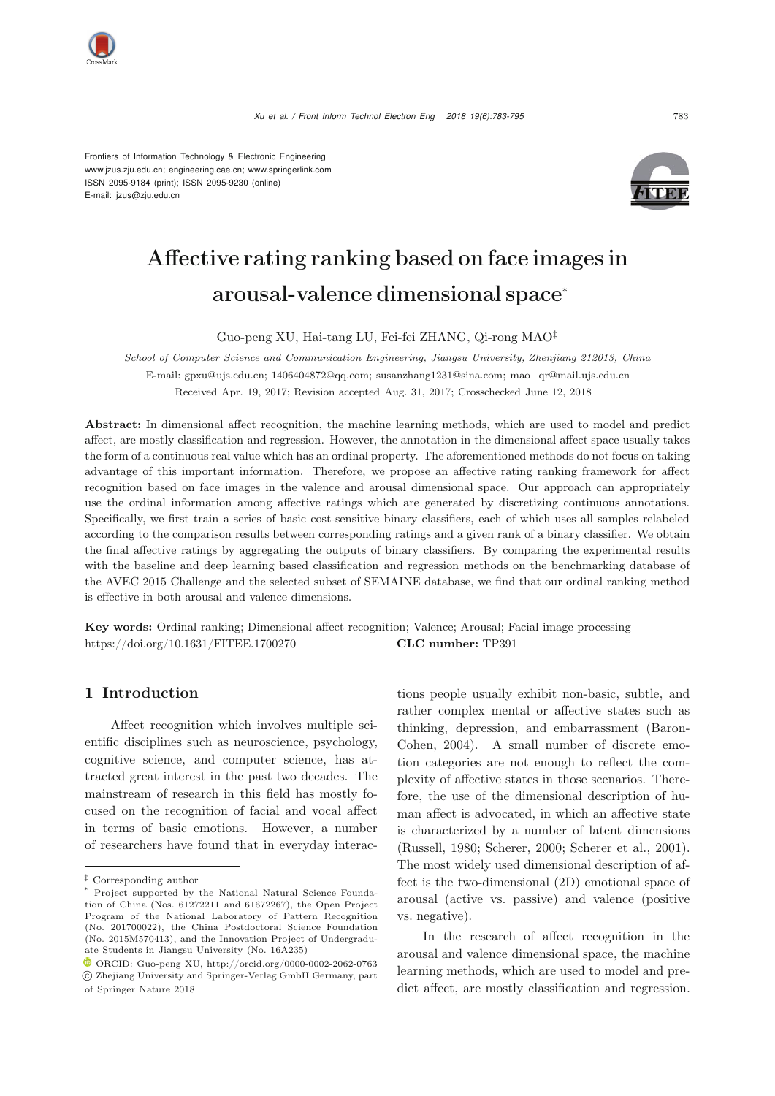

Frontiers of Information Technology & Electronic Engineering [www.jzus.zju.edu.cn;](www.jzus.zju.edu.cn) [engineering.cae.cn;](engineering.cae.cn)<www.springerlink.com> ISSN 2095-9184 (print); ISSN 2095-9230 (online) E-mail: jzus@zju.edu.cn



# Affective rating ranking based on face images in arousal-valence dimensional space<sup>∗</sup>

Guo-peng XU, Hai-tang LU, Fei-fei ZHANG, Qi-rong MAO‡

*School of Computer Science and Communication Engineering, Jiangsu University, Zhenjiang 212013, China* E-mail: gpxu@ujs.edu.cn; 1406404872@qq.com; susanzhang1231@sina.com; mao\_qr@mail.ujs.edu.cn Received Apr. 19, 2017; Revision accepted Aug. 31, 2017; Crosschecked June 12, 2018

Abstract: In dimensional affect recognition, the machine learning methods, which are used to model and predict affect, are mostly classification and regression. However, the annotation in the dimensional affect space usually takes the form of a continuous real value which has an ordinal property. The aforementioned methods do not focus on taking advantage of this important information. Therefore, we propose an affective rating ranking framework for affect recognition based on face images in the valence and arousal dimensional space. Our approach can appropriately use the ordinal information among affective ratings which are generated by discretizing continuous annotations. Specifically, we first train a series of basic cost-sensitive binary classifiers, each of which uses all samples relabeled according to the comparison results between corresponding ratings and a given rank of a binary classifier. We obtain the final affective ratings by aggregating the outputs of binary classifiers. By comparing the experimental results with the baseline and deep learning based classification and regression methods on the benchmarking database of the AVEC 2015 Challenge and the selected subset of SEMAINE database, we find that our ordinal ranking method is effective in both arousal and valence dimensions.

Key words: Ordinal ranking; Dimensional affect recognition; Valence; Arousal; Facial image processing https://doi.org/10.1631/FITEE.1700270 CLC number: TP391

## 1 Introduction

Affect recognition which involves multiple scientific disciplines such as neuroscience, psychology, cognitive science, and computer science, has attracted great interest in the past two decades. The mainstream of research in this field has mostly focused on the recognition of facial and vocal affect in terms of basic emotions. However, a number of researchers have found that in everyday interactions people usually exhibit non-basic, subtle, and rather complex mental or affective states such as thinki[ng,](#page-11-0) [depression,](#page-11-0) [and](#page-11-0) [embarrassment](#page-11-0) [\(](#page-11-0)Baron-Cohen, [2004\)](#page-11-0). A small number of discrete emotion categories are not enough to reflect the complexity of affective states in those scenarios. Therefore, the use of the dimensional description of human affect is advocated, in which an affective state is characterized by a number of latent dimensions [\(Russell, 1980](#page-11-1); [Scherer](#page-11-2), [2000;](#page-11-2) [Scherer et al., 2001\)](#page-11-3). The most widely used dimensional description of affect is the two-dimensional (2D) emotional space of arousal (active vs. passive) and valence (positive vs. negative).

In the research of affect recognition in the arousal and valence dimensional space, the machine learning methods, which are used to model and predict affect, are mostly classification and regression.

*<sup>‡</sup>* Corresponding author

Project supported by the National Natural Science Foundation of China (Nos. 61272211 and 61672267), the Open Project Program of the National Laboratory of Pattern Recognition (No. 201700022), the China Postdoctoral Science Foundation (No. 2015M570413), and the Innovation Project of Undergraduate Students in Jiangsu University (No. 16A235)

ORCID: Guo-peng XU, http://orcid.org/0000-0002-2062-0763 c Zhejiang University and Springer-Verlag GmbH Germany, part of Springer Nature 2018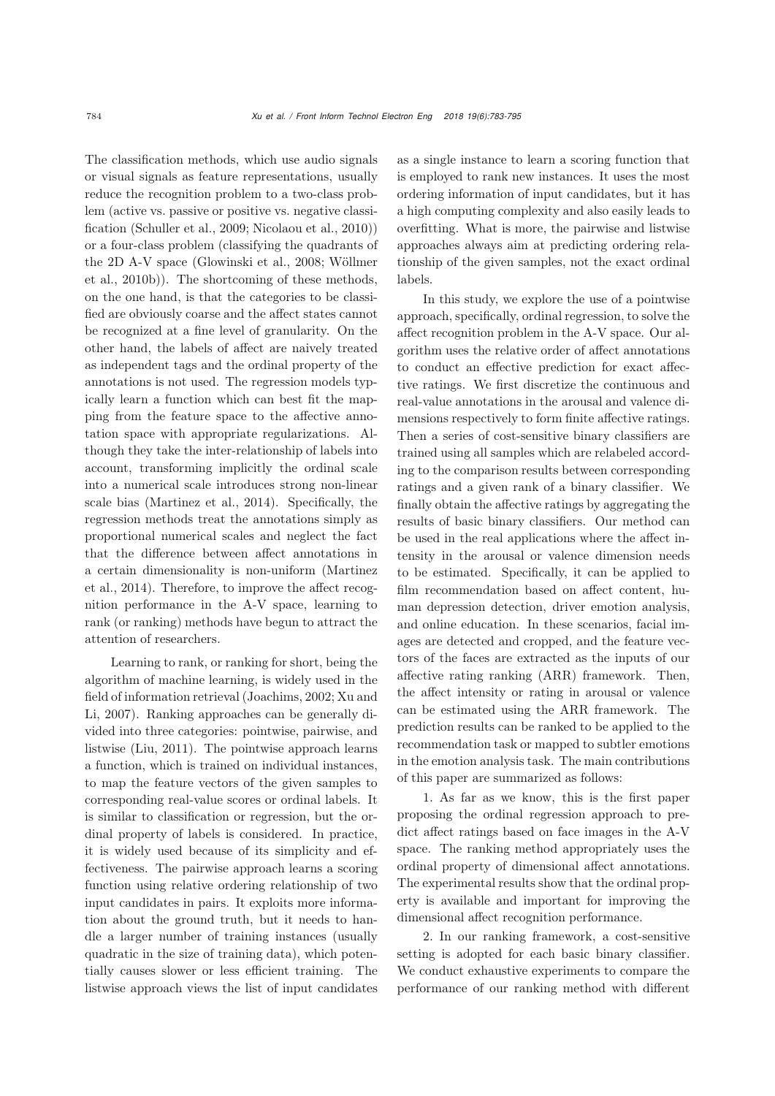The classification methods, which use audio signals or visual signals as feature representations, usually reduce the recognition problem to a two-class problem (active vs. passive or positive vs. negative classification [\(Schuller et al.](#page-11-4), [2009;](#page-11-4) [Nicolaou et al., 2010\)](#page-11-5)) or a four-class problem (classifying the quadrants of the 2[D](#page-12-0) [A-V](#page-12-0) [space](#page-12-0) [\(Glowinski et al.](#page-11-6)[,](#page-12-0) [2008](#page-11-6)[;](#page-12-0) Wöllmer et al., [2010b\)](#page-12-0)). The shortcoming of these methods, on the one hand, is that the categories to be classified are obviously coarse and the affect states cannot be recognized at a fine level of granularity. On the other hand, the labels of affect are naively treated as independent tags and the ordinal property of the annotations is not used. The regression models typically learn a function which can best fit the mapping from the feature space to the affective annotation space with appropriate regularizations. Although they take the inter-relationship of labels into account, transforming implicitly the ordinal scale into a numerical scale introduces strong non-linear scale bias [\(Martinez et al., 2014\)](#page-11-7). Specifically, the regression methods treat the annotations simply as proportional numerical scales and neglect the fact that the difference between affect annotations in a ce[rtain](#page-11-7) [dimensionality](#page-11-7) [is](#page-11-7) [non-uniform](#page-11-7) [\(](#page-11-7)Martinez et al., [2014\)](#page-11-7). Therefore, to improve the affect recognition performance in the A-V space, learning to rank (or ranking) methods have begun to attract the attention of researchers.

Learning to rank, or ranking for short, being the algorithm of machine learning, is widely used in the fi[eld](#page-12-1) [of](#page-12-1) [information](#page-12-1) [retrieval](#page-12-1) [\(Joachims](#page-11-8)[,](#page-12-1) [2002;](#page-11-8) Xu and Li, [2007\)](#page-12-1). Ranking approaches can be generally divided into three categories: pointwise, pairwise, and listwise [\(Liu](#page-11-9), [2011\)](#page-11-9). The pointwise approach learns a function, which is trained on individual instances, to map the feature vectors of the given samples to corresponding real-value scores or ordinal labels. It is similar to classification or regression, but the ordinal property of labels is considered. In practice, it is widely used because of its simplicity and effectiveness. The pairwise approach learns a scoring function using relative ordering relationship of two input candidates in pairs. It exploits more information about the ground truth, but it needs to handle a larger number of training instances (usually quadratic in the size of training data), which potentially causes slower or less efficient training. The listwise approach views the list of input candidates

as a single instance to learn a scoring function that is employed to rank new instances. It uses the most ordering information of input candidates, but it has a high computing complexity and also easily leads to overfitting. What is more, the pairwise and listwise approaches always aim at predicting ordering relationship of the given samples, not the exact ordinal labels.

In this study, we explore the use of a pointwise approach, specifically, ordinal regression, to solve the affect recognition problem in the A-V space. Our algorithm uses the relative order of affect annotations to conduct an effective prediction for exact affective ratings. We first discretize the continuous and real-value annotations in the arousal and valence dimensions respectively to form finite affective ratings. Then a series of cost-sensitive binary classifiers are trained using all samples which are relabeled according to the comparison results between corresponding ratings and a given rank of a binary classifier. We finally obtain the affective ratings by aggregating the results of basic binary classifiers. Our method can be used in the real applications where the affect intensity in the arousal or valence dimension needs to be estimated. Specifically, it can be applied to film recommendation based on affect content, human depression detection, driver emotion analysis, and online education. In these scenarios, facial images are detected and cropped, and the feature vectors of the faces are extracted as the inputs of our affective rating ranking (ARR) framework. Then, the affect intensity or rating in arousal or valence can be estimated using the ARR framework. The prediction results can be ranked to be applied to the recommendation task or mapped to subtler emotions in the emotion analysis task. The main contributions of this paper are summarized as follows:

1. As far as we know, this is the first paper proposing the ordinal regression approach to predict affect ratings based on face images in the A-V space. The ranking method appropriately uses the ordinal property of dimensional affect annotations. The experimental results show that the ordinal property is available and important for improving the dimensional affect recognition performance.

2. In our ranking framework, a cost-sensitive setting is adopted for each basic binary classifier. We conduct exhaustive experiments to compare the performance of our ranking method with different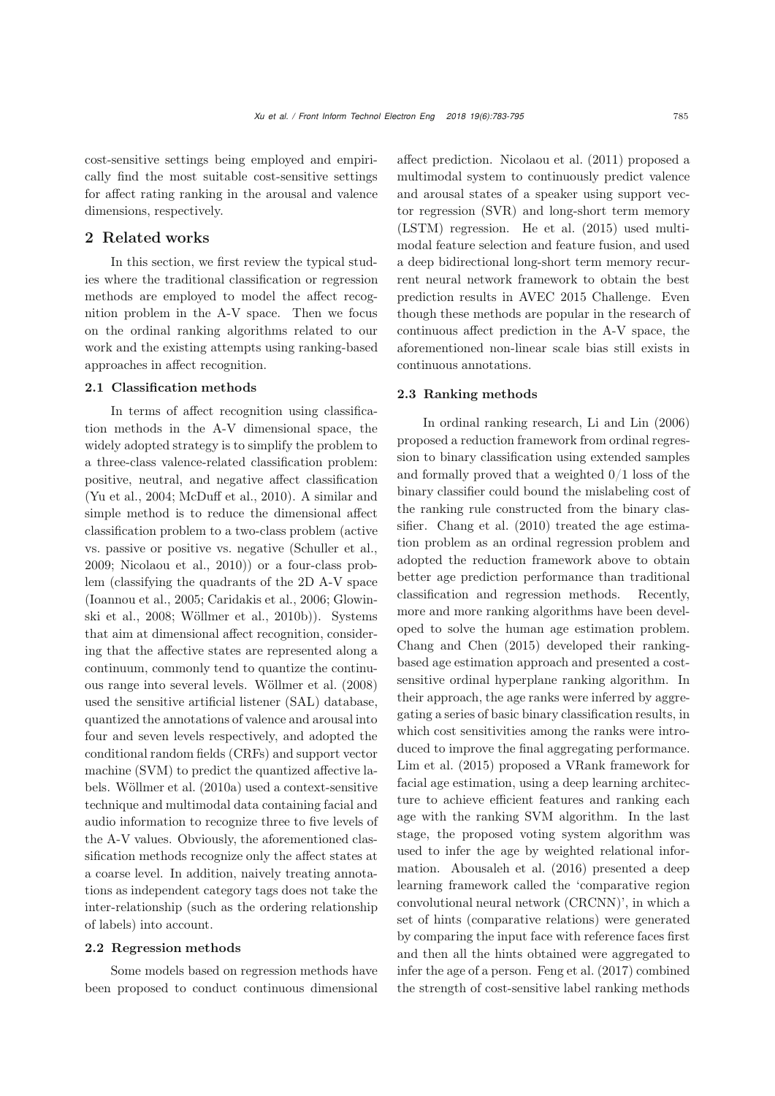cost-sensitive settings being employed and empirically find the most suitable cost-sensitive settings for affect rating ranking in the arousal and valence dimensions, respectively.

## 2 Related works

In this section, we first review the typical studies where the traditional classification or regression methods are employed to model the affect recognition problem in the A-V space. Then we focus on the ordinal ranking algorithms related to our work and the existing attempts using ranking-based approaches in affect recognition.

## 2.1 Classification methods

In terms of affect recognition using classification methods in the A-V dimensional space, the widely adopted strategy is to simplify the problem to a three-class valence-related classification problem: positive, neutral, and negative affect classification [\(Yu et al.](#page-12-2), [2004](#page-12-2); [McDuff et al., 2010\)](#page-11-10). A similar and simple method is to reduce the dimensional affect classification problem to a two-class problem (active vs. passive or positive vs. negative [\(Schuller et al.](#page-11-4), [2009](#page-11-4); [Nicolaou et al., 2010](#page-11-5))) or a four-class problem (classifying the quadrants of the 2D A-V space [\(Ioannou et al., 2005](#page-11-11)[;](#page-11-6) [Caridakis et al.](#page-11-12)[,](#page-11-6) [2006](#page-11-12)[;](#page-11-6) Glowinski et al., [2008;](#page-11-6) [Wöllmer et al., 2010b\)](#page-12-0)). Systems that aim at dimensional affect recognition, considering that the affective states are represented along a continuum, commonly tend to quantize the continuous range into several levels. [Wöllmer et al.](#page-12-3) [\(2008](#page-12-3)) used the sensitive artificial listener (SAL) database, quantized the annotations of valence and arousal into four and seven levels respectively, and adopted the conditional random fields (CRFs) and support vector machine (SVM) to predict the quantized affective labels. [Wöllmer et al.](#page-12-4) [\(2010a](#page-12-4)) used a context-sensitive technique and multimodal data containing facial and audio information to recognize three to five levels of the A-V values. Obviously, the aforementioned classification methods recognize only the affect states at a coarse level. In addition, naively treating annotations as independent category tags does not take the inter-relationship (such as the ordering relationship of labels) into account.

#### 2.2 Regression methods

Some models based on regression methods have been proposed to conduct continuous dimensional

affect prediction. [Nicolaou et al.](#page-11-13) [\(2011](#page-11-13)) proposed a multimodal system to continuously predict valence and arousal states of a speaker using support vector regression (SVR) and long-short term memory (LSTM) regression. [He et al.](#page-11-14) [\(2015\)](#page-11-14) used multimodal feature selection and feature fusion, and used a deep bidirectional long-short term memory recurrent neural network framework to obtain the best prediction results in AVEC 2015 Challenge. Even though these methods are popular in the research of continuous affect prediction in the A-V space, the aforementioned non-linear scale bias still exists in continuous annotations.

## 2.3 Ranking methods

In ordinal ranking research, [Li and Lin](#page-11-15) [\(2006](#page-11-15)) proposed a reduction framework from ordinal regression to binary classification using extended samples and formally proved that a weighted  $0/1$  loss of the binary classifier could bound the mislabeling cost of the ranking rule constructed from the binary classifier. [Chang et al.](#page-11-16) [\(2010](#page-11-16)) treated the age estimation problem as an ordinal regression problem and adopted the reduction framework above to obtain better age prediction performance than traditional classification and regression methods. Recently, more and more ranking algorithms have been developed to solve the human age estimation problem. [Chang and Chen](#page-11-17) [\(2015](#page-11-17)) developed their rankingbased age estimation approach and presented a costsensitive ordinal hyperplane ranking algorithm. In their approach, the age ranks were inferred by aggregating a series of basic binary classification results, in which cost sensitivities among the ranks were introduced to improve the final aggregating performance. [Lim et al.](#page-11-18) [\(2015](#page-11-18)) proposed a VRank framework for facial age estimation, using a deep learning architecture to achieve efficient features and ranking each age with the ranking SVM algorithm. In the last stage, the proposed voting system algorithm was used to infer the age by weighted relational information. [Abousaleh et al.](#page-11-19) [\(2016](#page-11-19)) presented a deep learning framework called the 'comparative region convolutional neural network (CRCNN)', in which a set of hints (comparative relations) were generated by comparing the input face with reference faces first and then all the hints obtained were aggregated to infer the age of a person. [Feng et al.](#page-11-20) [\(2017\)](#page-11-20) combined the strength of cost-sensitive label ranking methods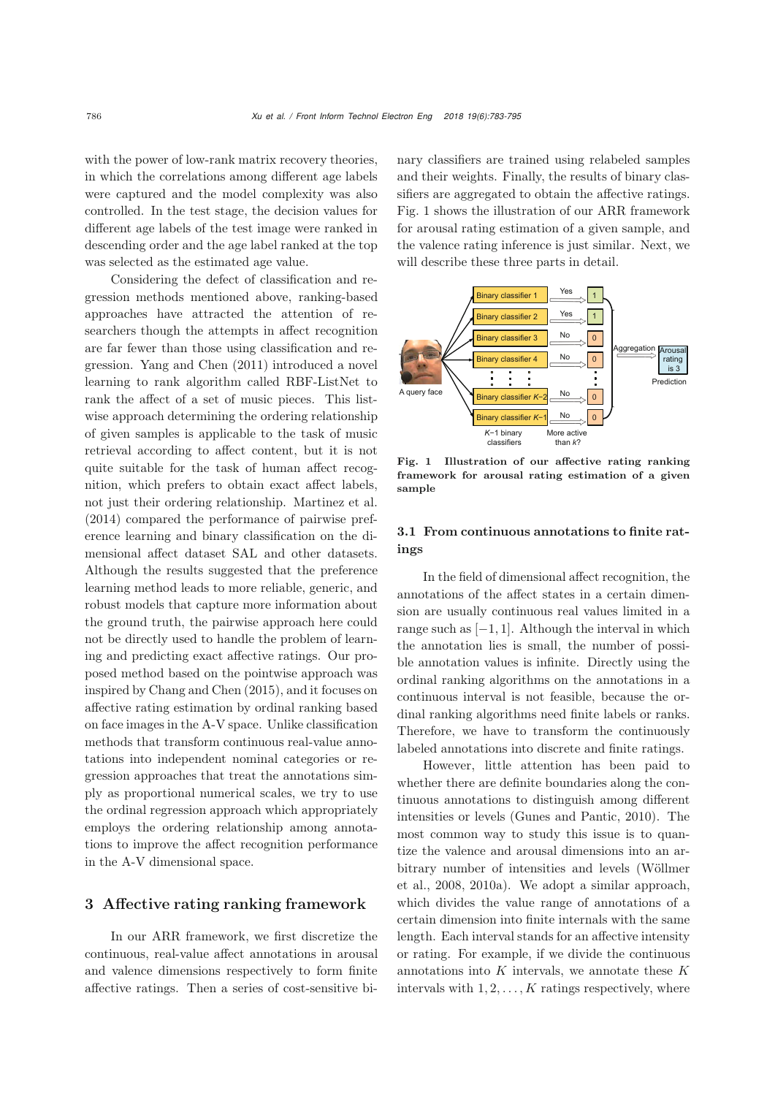with the power of low-rank matrix recovery theories, in which the correlations among different age labels were captured and the model complexity was also controlled. In the test stage, the decision values for different age labels of the test image were ranked in descending order and the age label ranked at the top was selected as the estimated age value.

Considering the defect of classification and regression methods mentioned above, ranking-based approaches have attracted the attention of researchers though the attempts in affect recognition are far fewer than those using classification and regression. [Yang and Chen](#page-12-5) [\(2011\)](#page-12-5) introduced a novel learning to rank algorithm called RBF-ListNet to rank the affect of a set of music pieces. This listwise approach determining the ordering relationship of given samples is applicable to the task of music retrieval according to affect content, but it is not quite suitable for the task of human affect recognition, which prefers to obtain exact affect labels, not just their ordering relationship. [Martinez et al.](#page-11-7) [\(2014](#page-11-7)) compared the performance of pairwise preference learning and binary classification on the dimensional affect dataset SAL and other datasets. Although the results suggested that the preference learning method leads to more reliable, generic, and robust models that capture more information about the ground truth, the pairwise approach here could not be directly used to handle the problem of learning and predicting exact affective ratings. Our proposed method based on the pointwise approach was inspired by [Chang and Chen](#page-11-17) [\(2015](#page-11-17)), and it focuses on affective rating estimation by ordinal ranking based on face images in the A-V space. Unlike classification methods that transform continuous real-value annotations into independent nominal categories or regression approaches that treat the annotations simply as proportional numerical scales, we try to use the ordinal regression approach which appropriately employs the ordering relationship among annotations to improve the affect recognition performance in the A-V dimensional space.

## 3 Affective rating ranking framework

In our ARR framework, we first discretize the continuous, real-value affect annotations in arousal and valence dimensions respectively to form finite affective ratings. Then a series of cost-sensitive binary classifiers are trained using relabeled samples and their weights. Finally, the results of binary classifiers are aggregated to obtain the affective ratings. Fig. [1](#page-3-0) shows the illustration of our ARR framework for arousal rating estimation of a given sample, and the valence rating inference is just similar. Next, we will describe these three parts in detail.



<span id="page-3-0"></span>Fig. 1 Illustration of our affective rating ranking framework for arousal rating estimation of a given sample

# 3.1 From continuous annotations to finite ratings

In the field of dimensional affect recognition, the annotations of the affect states in a certain dimension are usually continuous real values limited in a range such as  $[-1, 1]$ . Although the interval in which the annotation lies is small, the number of possible annotation values is infinite. Directly using the ordinal ranking algorithms on the annotations in a continuous interval is not feasible, because the ordinal ranking algorithms need finite labels or ranks. Therefore, we have to transform the continuously labeled annotations into discrete and finite ratings.

However, little attention has been paid to whether there are definite boundaries along the continuous annotations to distinguish among different intensities or levels [\(Gunes and Pantic](#page-11-21), [2010\)](#page-11-21). The most common way to study this issue is to quantize the valence and arousal dimensions into an arbitra[ry](#page-12-3) [number](#page-12-3) [of](#page-12-3) [intensities](#page-12-3) [and](#page-12-3) [levels](#page-12-3) [\(](#page-12-3)Wöllmer et al., [2008,](#page-12-3) [2010a](#page-12-4)). We adopt a similar approach, which divides the value range of annotations of a certain dimension into finite internals with the same length. Each interval stands for an affective intensity or rating. For example, if we divide the continuous annotations into  $K$  intervals, we annotate these  $K$ intervals with  $1, 2, \ldots, K$  ratings respectively, where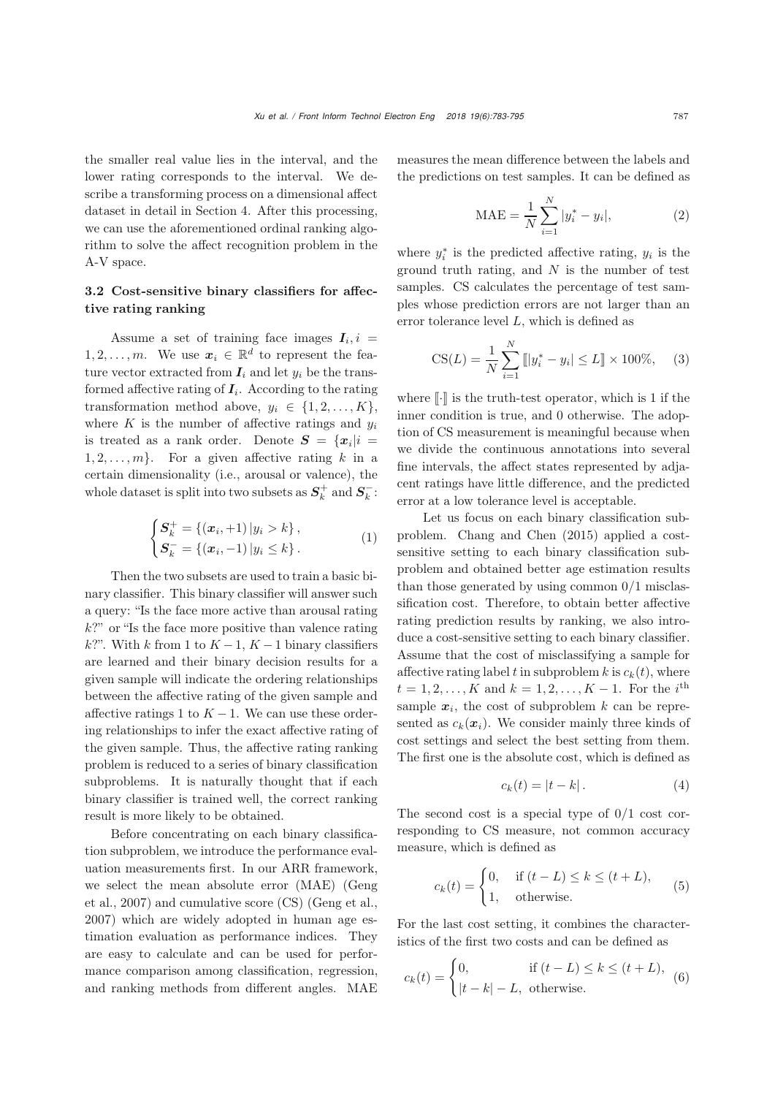the smaller real value lies in the interval, and the lower rating corresponds to the interval. We describe a transforming process on a dimensional affect dataset in detail in Section 4. After this processing, we can use the aforementioned ordinal ranking algorithm to solve the affect recognition problem in the A-V space.

# 3.2 Cost-sensitive binary classifiers for affective rating ranking

Assume a set of training face images  $I_i$ , i = 1, 2, ..., *m*. We use  $x_i \in \mathbb{R}^d$  to represent the feature vector extracted from  $I_i$  and let  $y_i$  be the transformed affective rating of  $I_i$ . According to the rating transformation method above,  $y_i \in \{1, 2, ..., K\},\$ where  $K$  is the number of affective ratings and  $y_i$ is treated as a rank order. Denote  $S = \{x_i | i =$  $1, 2, \ldots, m$ . For a given affective rating k in a certain dimensionality (i.e., arousal or valence), the whole dataset is split into two subsets as  $S_k^+$  and  $S_k^-$ :

$$
\begin{cases} S_k^+ = \{ (x_i, +1) \, | y_i > k \}, \\ S_k^- = \{ (x_i, -1) \, | y_i \le k \}. \end{cases} \tag{1}
$$

Then the two subsets are used to train a basic binary classifier. This binary classifier will answer such a query: "Is the face more active than arousal rating  $k$ ?" or "Is the face more positive than valence rating k?". With k from 1 to  $K - 1$ ,  $K - 1$  binary classifiers are learned and their binary decision results for a given sample will indicate the ordering relationships between the affective rating of the given sample and affective ratings 1 to  $K - 1$ . We can use these ordering relationships to infer the exact affective rating of the given sample. Thus, the affective rating ranking problem is reduced to a series of binary classification subproblems. It is naturally thought that if each binary classifier is trained well, the correct ranking result is more likely to be obtained.

Before concentrating on each binary classification subproblem, we introduce the performance evaluation measurements first. In our ARR framework, we s[elect](#page-11-22) [the](#page-11-22) [mean](#page-11-22) [absolute](#page-11-22) [error](#page-11-22) [\(MAE\)](#page-11-22) [\(](#page-11-22)Geng et al., [2007\)](#page-11-22) and cumulative score (CS) [\(Geng et al.](#page-11-22), [2007](#page-11-22)) which are widely adopted in human age estimation evaluation as performance indices. They are easy to calculate and can be used for performance comparison among classification, regression, and ranking methods from different angles. MAE

measures the mean difference between the labels and the predictions on test samples. It can be defined as

$$
\text{MAE} = \frac{1}{N} \sum_{i=1}^{N} |y_i^* - y_i|,\tag{2}
$$

where  $y_i^*$  is the predicted affective rating,  $y_i$  is the ground truth rating, and  $N$  is the number of test samples. CS calculates the percentage of test samples whose prediction errors are not larger than an error tolerance level L, which is defined as

$$
CS(L) = \frac{1}{N} \sum_{i=1}^{N} [[y_i^* - y_i] \le L] \times 100\%, \quad (3)
$$

where  $\lbrack \cdot \rbrack$  is the truth-test operator, which is 1 if the inner condition is true, and 0 otherwise. The adoption of CS measurement is meaningful because when we divide the continuous annotations into several fine intervals, the affect states represented by adjacent ratings have little difference, and the predicted error at a low tolerance level is acceptable.

Let us focus on each binary classification subproblem. [Chang and Chen](#page-11-17) [\(2015\)](#page-11-17) applied a costsensitive setting to each binary classification subproblem and obtained better age estimation results than those generated by using common  $0/1$  misclassification cost. Therefore, to obtain better affective rating prediction results by ranking, we also introduce a cost-sensitive setting to each binary classifier. Assume that the cost of misclassifying a sample for affective rating label t in subproblem k is  $c_k(t)$ , where  $t = 1, 2, ..., K$  and  $k = 1, 2, ..., K - 1$ . For the i<sup>th</sup> sample  $x_i$ , the cost of subproblem k can be represented as  $c_k(x_i)$ . We consider mainly three kinds of cost settings and select the best setting from them. The first one is the absolute cost, which is defined as

$$
c_k(t) = |t - k|.
$$
 (4)

The second cost is a special type of  $0/1$  cost corresponding to CS measure, not common accuracy measure, which is defined as

$$
c_k(t) = \begin{cases} 0, & \text{if } (t - L) \le k \le (t + L), \\ 1, & \text{otherwise.} \end{cases}
$$
 (5)

For the last cost setting, it combines the characteristics of the first two costs and can be defined as

$$
c_k(t) = \begin{cases} 0, & \text{if } (t - L) \le k \le (t + L), \\ |t - k| - L, & \text{otherwise.} \end{cases} \tag{6}
$$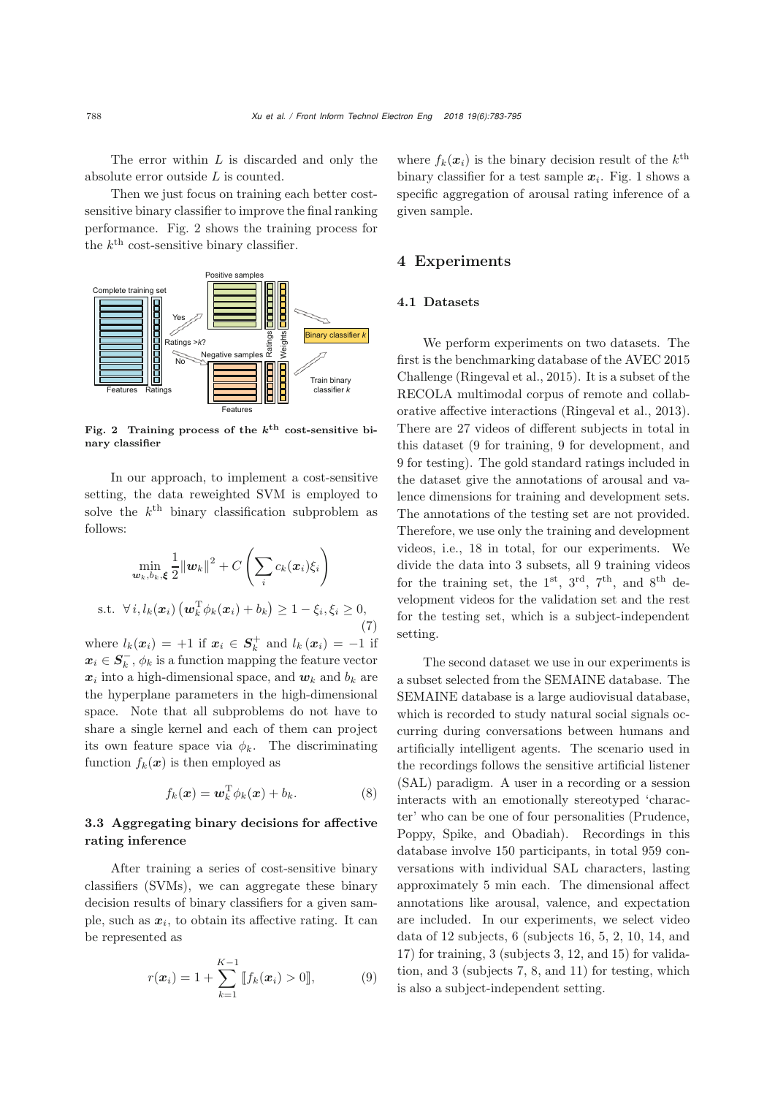The error within L is discarded and only the absolute error outside  $L$  is counted.

Then we just focus on training each better costsensitive binary classifier to improve the final ranking performance. Fig. [2](#page-5-0) shows the training process for the  $k^{\text{th}}$  cost-sensitive binary classifier.



<span id="page-5-0"></span>Fig. 2 Training process of the *k*th cost-sensitive binary classifier

In our approach, to implement a cost-sensitive setting, the data reweighted SVM is employed to solve the  $k^{\text{th}}$  binary classification subproblem as follows:

$$
\min_{\mathbf{w}_k, b_k, \xi} \frac{1}{2} ||\mathbf{w}_k||^2 + C \left( \sum_i c_k(\mathbf{x}_i) \xi_i \right)
$$
  
s.t.  $\forall i, l_k(\mathbf{x}_i) \left( \mathbf{w}_k^{\mathrm{T}} \phi_k(\mathbf{x}_i) + b_k \right) \ge 1 - \xi_i, \xi_i \ge 0,$  (7)

where  $l_k(\boldsymbol{x}_i) = +1$  if  $\boldsymbol{x}_i \in S_k^+$  and  $l_k(\boldsymbol{x}_i) = -1$  if  $x_i \in S_k^-$ ,  $\phi_k$  is a function mapping the feature vector  $x_i$  into a high-dimensional space, and  $w_k$  and  $b_k$  are the hyperplane parameters in the high-dimensional space. Note that all subproblems do not have to share a single kernel and each of them can project its own feature space via  $\phi_k$ . The discriminating function  $f_k(x)$  is then employed as

$$
f_k(\boldsymbol{x}) = \boldsymbol{w}_k^{\mathrm{T}} \phi_k(\boldsymbol{x}) + b_k. \tag{8}
$$

## 3.3 Aggregating binary decisions for affective rating inference

After training a series of cost-sensitive binary classifiers (SVMs), we can aggregate these binary decision results of binary classifiers for a given sample, such as  $x_i$ , to obtain its affective rating. It can be represented as

$$
r(\boldsymbol{x}_i) = 1 + \sum_{k=1}^{K-1} [f_k(\boldsymbol{x}_i) > 0], \tag{9}
$$

where  $f_k(x_i)$  is the binary decision result of the  $k^{\text{th}}$ binary classifier for a test sample  $x_i$ . Fig. [1](#page-3-0) shows a specific aggregation of arousal rating inference of a given sample.

# 4 Experiments

### 4.1 Datasets

We perform experiments on two datasets. The first is the benchmarking database of the AVEC 2015 Challenge [\(Ringeval et al., 2015](#page-11-23)). It is a subset of the RECOLA multimodal corpus of remote and collaborative affective interactions [\(Ringeval et al., 2013\)](#page-11-24). There are 27 videos of different subjects in total in this dataset (9 for training, 9 for development, and 9 for testing). The gold standard ratings included in the dataset give the annotations of arousal and valence dimensions for training and development sets. The annotations of the testing set are not provided. Therefore, we use only the training and development videos, i.e., 18 in total, for our experiments. We divide the data into 3 subsets, all 9 training videos for the training set, the  $1^{st}$ ,  $3^{rd}$ ,  $7^{th}$ , and  $8^{th}$  development videos for the validation set and the rest for the testing set, which is a subject-independent setting.

The second dataset we use in our experiments is a subset selected from the SEMAINE database. The SEMAINE database is a large audiovisual database, which is recorded to study natural social signals occurring during conversations between humans and artificially intelligent agents. The scenario used in the recordings follows the sensitive artificial listener (SAL) paradigm. A user in a recording or a session interacts with an emotionally stereotyped 'character' who can be one of four personalities (Prudence, Poppy, Spike, and Obadiah). Recordings in this database involve 150 participants, in total 959 conversations with individual SAL characters, lasting approximately 5 min each. The dimensional affect annotations like arousal, valence, and expectation are included. In our experiments, we select video data of 12 subjects, 6 (subjects 16, 5, 2, 10, 14, and 17) for training, 3 (subjects 3, 12, and 15) for validation, and 3 (subjects 7, 8, and 11) for testing, which is also a subject-independent setting.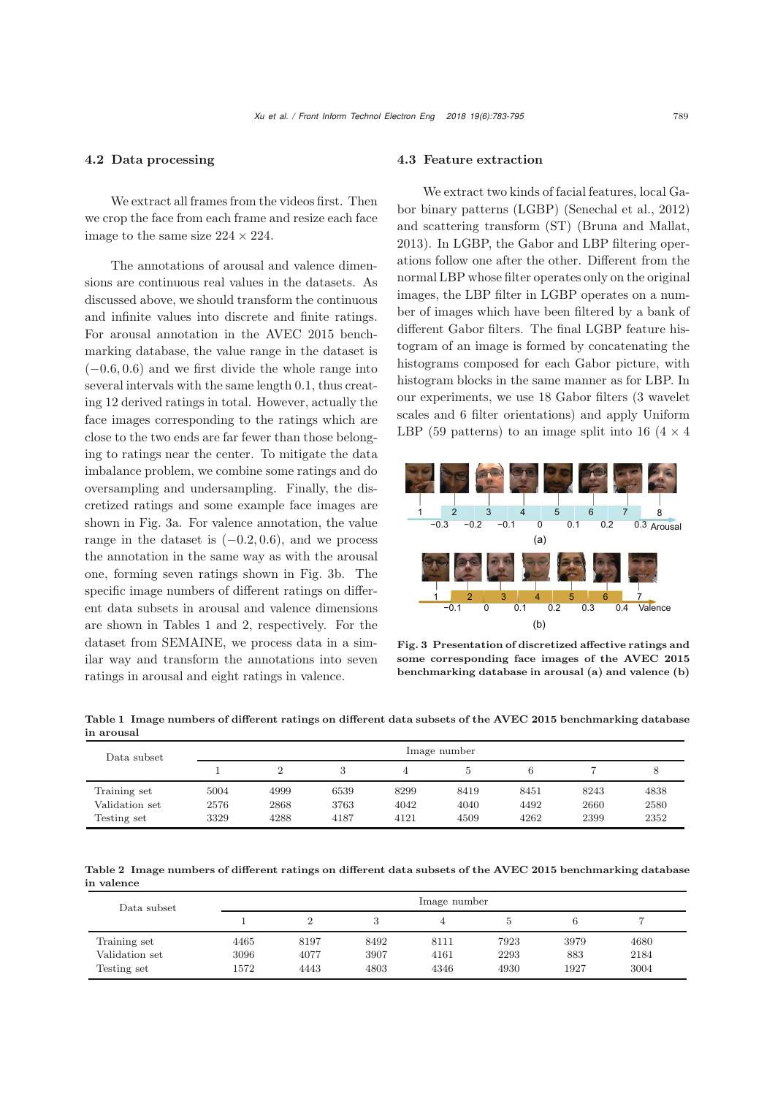### 4.2 Data processing

We extract all frames from the videos first. Then we crop the face from each frame and resize each face image to the same size  $224 \times 224$ .

The annotations of arousal and valence dimensions are continuous real values in the datasets. As discussed above, we should transform the continuous and infinite values into discrete and finite ratings. For arousal annotation in the AVEC 2015 benchmarking database, the value range in the dataset is  $(-0.6, 0.6)$  and we first divide the whole range into several intervals with the same length 0.1, thus creating 12 derived ratings in total. However, actually the face images corresponding to the ratings which are close to the two ends are far fewer than those belonging to ratings near the center. To mitigate the data imbalance problem, we combine some ratings and do oversampling and undersampling. Finally, the discretized ratings and some example face images are shown in Fig. [3a](#page-6-0). For valence annotation, the value range in the dataset is  $(-0.2, 0.6)$ , and we process the annotation in the same way as with the arousal one, forming seven ratings shown in Fig. [3b](#page-6-0). The specific image numbers of different ratings on different data subsets in arousal and valence dimensions are shown in Tables 1 and 2, respectively. For the dataset from SEMAINE, we process data in a similar way and transform the annotations into seven ratings in arousal and eight ratings in valence.

#### 4.3 Feature extraction

We extract two kinds of facial features, local Gabor binary patterns (LGBP) [\(Senechal et al.](#page-12-6), [2012](#page-12-6)) and scattering transform (ST) [\(Bruna and Mallat](#page-11-25), [2013](#page-11-25)). In LGBP, the Gabor and LBP filtering operations follow one after the other. Different from the normal LBP whose filter operates only on the original images, the LBP filter in LGBP operates on a number of images which have been filtered by a bank of different Gabor filters. The final LGBP feature histogram of an image is formed by concatenating the histograms composed for each Gabor picture, with histogram blocks in the same manner as for LBP. In our experiments, we use 18 Gabor filters (3 wavelet scales and 6 filter orientations) and apply Uniform LBP (59 patterns) to an image split into 16 (4  $\times$  4)



<span id="page-6-0"></span>Fig. 3 Presentation of discretized affective ratings and some corresponding face images of the AVEC 2015 benchmarking database in arousal (a) and valence (b)

| Data subset    | Image number |      |      |      |      |      |      |      |
|----------------|--------------|------|------|------|------|------|------|------|
|                |              |      |      |      |      | 6    |      |      |
| Training set   | 5004         | 4999 | 6539 | 8299 | 8419 | 8451 | 8243 | 4838 |
| Validation set | 2576         | 2868 | 3763 | 4042 | 4040 | 4492 | 2660 | 2580 |
| Testing set    | 3329         | 4288 | 4187 | 4121 | 4509 | 4262 | 2399 | 2352 |

Table 1 Image numbers of different ratings on different data subsets of the AVEC 2015 benchmarking database in arousal

Table 2 Image numbers of different ratings on different data subsets of the AVEC 2015 benchmarking database in valence

| Data subset    |      |      |      | Image number |      |      |      |
|----------------|------|------|------|--------------|------|------|------|
|                |      |      |      |              |      |      |      |
| Training set   | 4465 | 8197 | 8492 | 8111         | 7923 | 3979 | 4680 |
| Validation set | 3096 | 4077 | 3907 | 4161         | 2293 | 883  | 2184 |
| Testing set    | 1572 | 4443 | 4803 | 4346         | 4930 | 1927 | 3004 |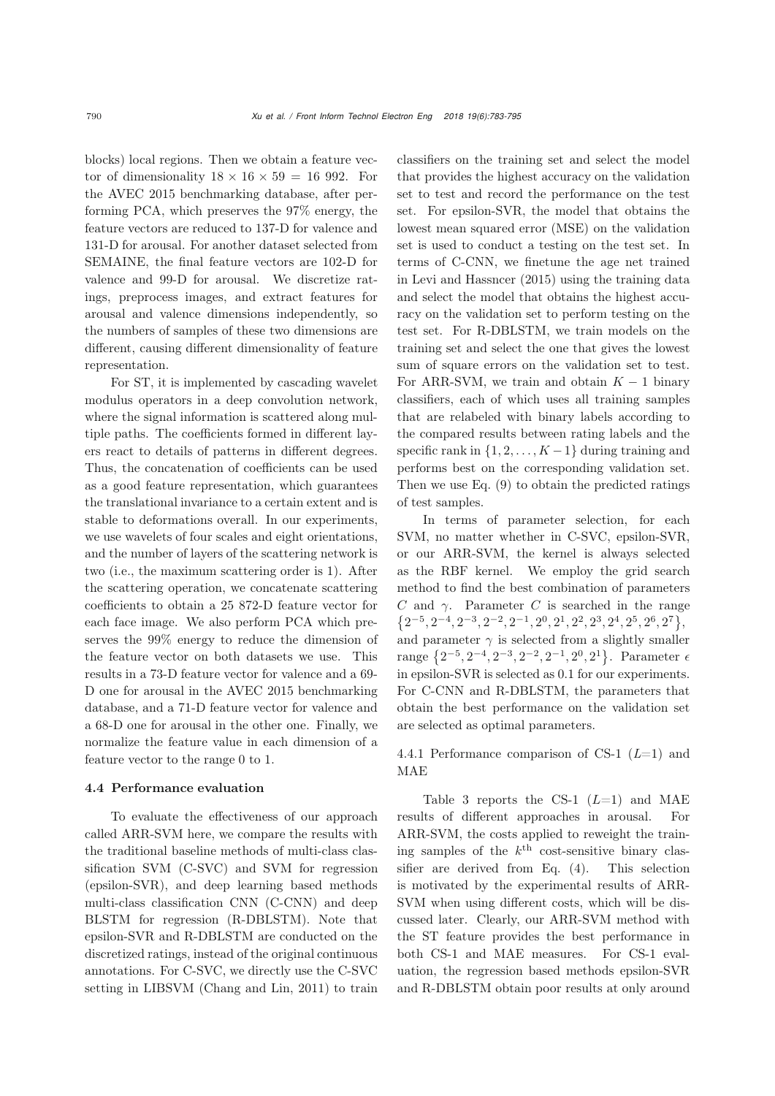blocks) local regions. Then we obtain a feature vector of dimensionality  $18 \times 16 \times 59 = 16992$ . For the AVEC 2015 benchmarking database, after performing PCA, which preserves the 97% energy, the feature vectors are reduced to 137-D for valence and 131-D for arousal. For another dataset selected from SEMAINE, the final feature vectors are 102-D for valence and 99-D for arousal. We discretize ratings, preprocess images, and extract features for arousal and valence dimensions independently, so the numbers of samples of these two dimensions are different, causing different dimensionality of feature representation.

For ST, it is implemented by cascading wavelet modulus operators in a deep convolution network, where the signal information is scattered along multiple paths. The coefficients formed in different layers react to details of patterns in different degrees. Thus, the concatenation of coefficients can be used as a good feature representation, which guarantees the translational invariance to a certain extent and is stable to deformations overall. In our experiments, we use wavelets of four scales and eight orientations, and the number of layers of the scattering network is two (i.e., the maximum scattering order is 1). After the scattering operation, we concatenate scattering coefficients to obtain a 25 872-D feature vector for each face image. We also perform PCA which preserves the 99% energy to reduce the dimension of the feature vector on both datasets we use. This results in a 73-D feature vector for valence and a 69- D one for arousal in the AVEC 2015 benchmarking database, and a 71-D feature vector for valence and a 68-D one for arousal in the other one. Finally, we normalize the feature value in each dimension of a feature vector to the range 0 to 1.

#### 4.4 Performance evaluation

To evaluate the effectiveness of our approach called ARR-SVM here, we compare the results with the traditional baseline methods of multi-class classification SVM (C-SVC) and SVM for regression (epsilon-SVR), and deep learning based methods multi-class classification CNN (C-CNN) and deep BLSTM for regression (R-DBLSTM). Note that epsilon-SVR and R-DBLSTM are conducted on the discretized ratings, instead of the original continuous annotations. For C-SVC, we directly use the C-SVC setting in LIBSVM [\(Chang and Lin, 2011](#page-11-26)) to train

classifiers on the training set and select the model that provides the highest accuracy on the validation set to test and record the performance on the test set. For epsilon-SVR, the model that obtains the lowest mean squared error (MSE) on the validation set is used to conduct a testing on the test set. In terms of C-CNN, we finetune the age net trained in [Levi and Hassncer](#page-11-27) [\(2015](#page-11-27)) using the training data and select the model that obtains the highest accuracy on the validation set to perform testing on the test set. For R-DBLSTM, we train models on the training set and select the one that gives the lowest sum of square errors on the validation set to test. For ARR-SVM, we train and obtain  $K - 1$  binary classifiers, each of which uses all training samples that are relabeled with binary labels according to the compared results between rating labels and the specific rank in  $\{1, 2, \ldots, K-1\}$  during training and performs best on the corresponding validation set. Then we use Eq. (9) to obtain the predicted ratings of test samples.

In terms of parameter selection, for each SVM, no matter whether in C-SVC, epsilon-SVR, or our ARR-SVM, the kernel is always selected as the RBF kernel. We employ the grid search method to find the best combination of parameters C and  $\gamma$ . Parameter C is searched in the range  ${2^{-5}, 2^{-4}, 2^{-3}, 2^{-2}, 2^{-1}, 2^{0}, 2^{1}, 2^{2}, 2^{3}, 2^{4}, 2^{5}, 2^{6}, 2^{7}}$ and parameter  $\gamma$  is selected from a slightly smaller range  $\{2^{-5}, 2^{-4}, 2^{-3}, 2^{-2}, 2^{-1}, 2^{0}, 2^{1}\}$ . Parameter  $\epsilon$ in epsilon-SVR is selected as 0.1 for our experiments. For C-CNN and R-DBLSTM, the parameters that obtain the best performance on the validation set are selected as optimal parameters.

4.4.1 Performance comparison of CS-1 (*L*=1) and MAE

Table 3 reports the CS-1  $(L=1)$  and MAE results of different approaches in arousal. For ARR-SVM, the costs applied to reweight the training samples of the  $k^{\text{th}}$  cost-sensitive binary classifier are derived from Eq. (4). This selection is motivated by the experimental results of ARR-SVM when using different costs, which will be discussed later. Clearly, our ARR-SVM method with the ST feature provides the best performance in both CS-1 and MAE measures. For CS-1 evaluation, the regression based methods epsilon-SVR and R-DBLSTM obtain poor results at only around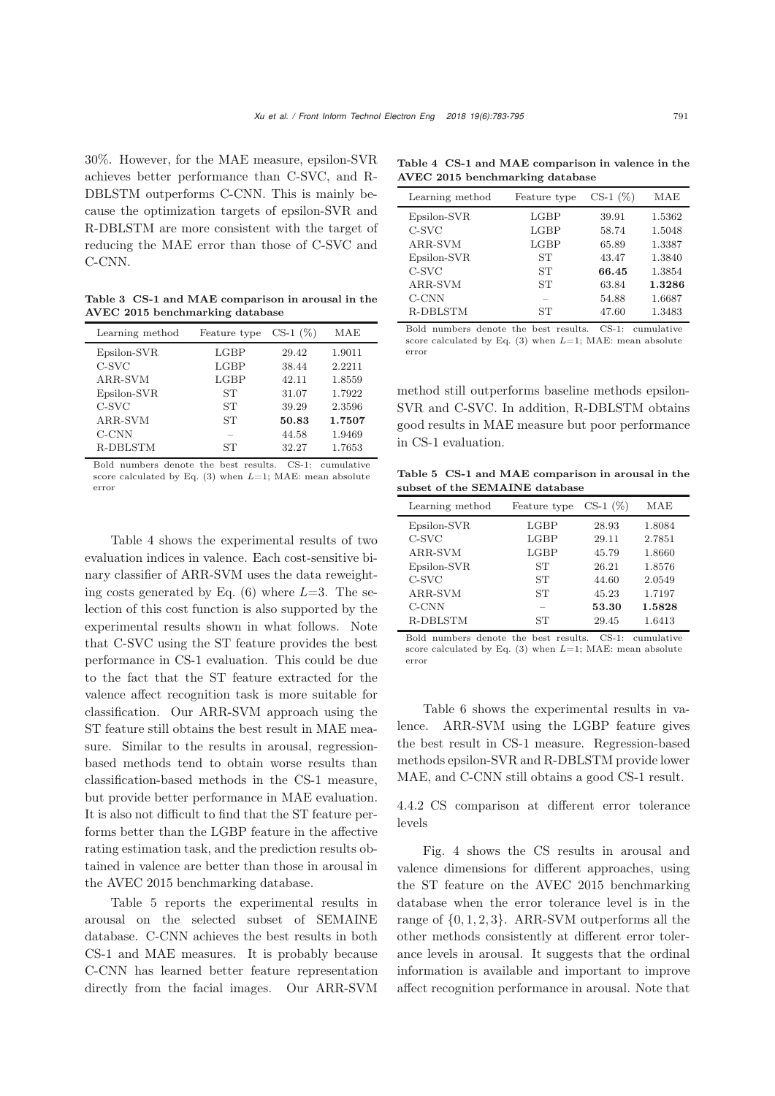30%. However, for the MAE measure, epsilon-SVR achieves better performance than C-SVC, and R-DBLSTM outperforms C-CNN. This is mainly because the optimization targets of epsilon-SVR and R-DBLSTM are more consistent with the target of reducing the MAE error than those of C-SVC and C-CNN.

Table 3 CS-1 and MAE comparison in arousal in the AVEC 2015 benchmarking database

| Learning method | Feature type | $CS-1$ $(\%)$ | MAE    |
|-----------------|--------------|---------------|--------|
| Epsilon-SVR     | LGBP         | 29.42         | 1.9011 |
| C-SVC           | LGBP         | 38.44         | 2.2211 |
| ARR-SVM         | LGBP         | 42.11         | 1.8559 |
| Epsilon-SVR     | SТ           | 31.07         | 1.7922 |
| C-SVC           | ST           | 39.29         | 2.3596 |
| ARR-SVM         | SТ           | 50.83         | 1.7507 |
| C-CNN           |              | 44.58         | 1.9469 |
| R-DBLSTM        | SТ           | 32.27         | 1.7653 |

Bold numbers denote the best results. CS-1: cumulative score calculated by Eq. (3) when *L*=1; MAE: mean absolute error

Table 4 shows the experimental results of two evaluation indices in valence. Each cost-sensitive binary classifier of ARR-SVM uses the data reweighting costs generated by Eq.  $(6)$  where  $L=3$ . The selection of this cost function is also supported by the experimental results shown in what follows. Note that C-SVC using the ST feature provides the best performance in CS-1 evaluation. This could be due to the fact that the ST feature extracted for the valence affect recognition task is more suitable for classification. Our ARR-SVM approach using the ST feature still obtains the best result in MAE measure. Similar to the results in arousal, regressionbased methods tend to obtain worse results than classification-based methods in the CS-1 measure, but provide better performance in MAE evaluation. It is also not difficult to find that the ST feature performs better than the LGBP feature in the affective rating estimation task, and the prediction results obtained in valence are better than those in arousal in the AVEC 2015 benchmarking database.

Table 5 reports the experimental results in arousal on the selected subset of SEMAINE database. C-CNN achieves the best results in both CS-1 and MAE measures. It is probably because C-CNN has learned better feature representation directly from the facial images. Our ARR-SVM

Table 4 CS-1 and MAE comparison in valence in the AVEC 2015 benchmarking database

| Feature type | $CS-1$ $(\%)$       | MAE                     |
|--------------|---------------------|-------------------------|
| LGBP         | 39.91               | 1.5362                  |
| LGBP         | 65.89               | 1.5048<br>1.3387        |
| SТ           | 43.47               | 1.3840                  |
| SТ           | 66.45               | 1.3854                  |
|              |                     | 1.3286<br>1.6687        |
| SТ           | 47.60               | 1.3483                  |
|              | $_{\rm LGBP}$<br>SТ | 58.74<br>63.84<br>54.88 |

Bold numbers denote the best results. CS-1: cumulative score calculated by Eq. (3) when *L*=1; MAE: mean absolute error

method still outperforms baseline methods epsilon-SVR and C-SVC. In addition, R-DBLSTM obtains good results in MAE measure but poor performance in CS-1 evaluation.

Table 5 CS-1 and MAE comparison in arousal in the subset of the SEMAINE database

| Learning method | Feature type  | $CS-1(%)$ | MAE    |
|-----------------|---------------|-----------|--------|
| Epsilon-SVR     | $_{\rm LGBP}$ | 28.93     | 1.8084 |
| C-SVC           | LGBP          | 29.11     | 2.7851 |
| ARR-SVM         | LGBP          | 45.79     | 1.8660 |
| Epsilon-SVR     | SТ            | 26.21     | 1.8576 |
| C-SVC           | SТ            | 44.60     | 2.0549 |
| ARR-SVM         | SТ            | 45.23     | 1.7197 |
| $C-CNN$         |               | 53.30     | 1.5828 |
| <b>R-DBLSTM</b> | SТ            | 29.45     | 1.6413 |

Bold numbers denote the best results. CS-1: cumulative score calculated by Eq. (3) when *L*=1; MAE: mean absolute error

Table 6 shows the experimental results in valence. ARR-SVM using the LGBP feature gives the best result in CS-1 measure. Regression-based methods epsilon-SVR and R-DBLSTM provide lower MAE, and C-CNN still obtains a good CS-1 result.

4.4.2 CS comparison at different error tolerance levels

Fig. [4](#page-9-0) shows the CS results in arousal and valence dimensions for different approaches, using the ST feature on the AVEC 2015 benchmarking database when the error tolerance level is in the range of  $\{0, 1, 2, 3\}$ . ARR-SVM outperforms all the other methods consistently at different error tolerance levels in arousal. It suggests that the ordinal information is available and important to improve affect recognition performance in arousal. Note that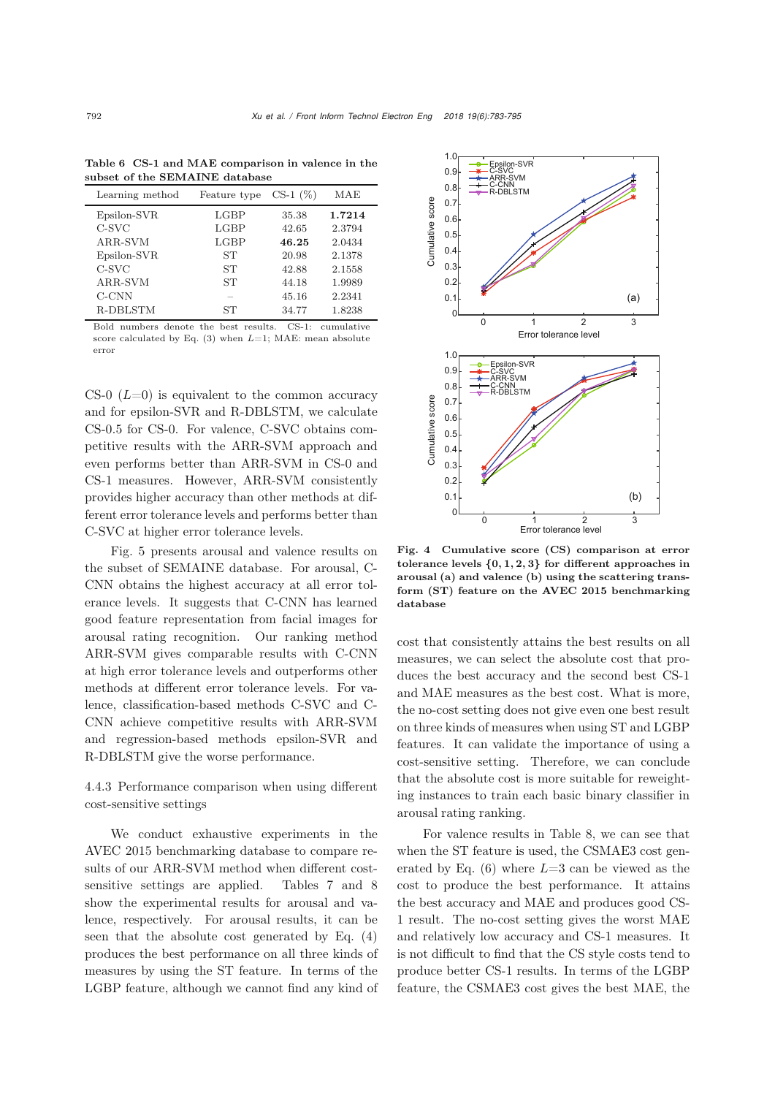| Learning method | Feature type  | $CS-1$ $(\%)$ | MAE    |
|-----------------|---------------|---------------|--------|
| Epsilon-SVR     | $_{\rm LGBP}$ | 35.38         | 1.7214 |
| C-SVC           | $_{\rm LGBP}$ | 42.65         | 2.3794 |
| ARR-SVM         | LGBP          | 46.25         | 2.0434 |
| Epsilon-SVR     | ST            | 20.98         | 2.1378 |
| C-SVC           | SТ            | 42.88         | 2.1558 |
| ARR-SVM         | SТ            | 44.18         | 1.9989 |
| $C-CNN$         |               | 45.16         | 2.2341 |
| R-DBLSTM        | SТ            | 34.77         | 1.8238 |

Table 6 CS-1 and MAE comparison in valence in the subset of the SEMAINE database

Bold numbers denote the best results. CS-1: cumulative score calculated by Eq. (3) when *L*=1; MAE: mean absolute error

CS-0  $(L=0)$  is equivalent to the common accuracy and for epsilon-SVR and R-DBLSTM, we calculate CS-0.5 for CS-0. For valence, C-SVC obtains competitive results with the ARR-SVM approach and even performs better than ARR-SVM in CS-0 and CS-1 measures. However, ARR-SVM consistently provides higher accuracy than other methods at different error tolerance levels and performs better than C-SVC at higher error tolerance levels.

Fig. [5](#page-10-0) presents arousal and valence results on the subset of SEMAINE database. For arousal, C-CNN obtains the highest accuracy at all error tolerance levels. It suggests that C-CNN has learned good feature representation from facial images for arousal rating recognition. Our ranking method ARR-SVM gives comparable results with C-CNN at high error tolerance levels and outperforms other methods at different error tolerance levels. For valence, classification-based methods C-SVC and C-CNN achieve competitive results with ARR-SVM and regression-based methods epsilon-SVR and R-DBLSTM give the worse performance.

4.4.3 Performance comparison when using different cost-sensitive settings

We conduct exhaustive experiments in the AVEC 2015 benchmarking database to compare results of our ARR-SVM method when different costsensitive settings are applied. Tables 7 and 8 show the experimental results for arousal and valence, respectively. For arousal results, it can be seen that the absolute cost generated by Eq. (4) produces the best performance on all three kinds of measures by using the ST feature. In terms of the LGBP feature, although we cannot find any kind of



<span id="page-9-0"></span>Fig. 4 Cumulative score (CS) comparison at error tolerance levels  $\{0, 1, 2, 3\}$  for different approaches in arousal (a) and valence (b) using the scattering transform (ST) feature on the AVEC 2015 benchmarking database

cost that consistently attains the best results on all measures, we can select the absolute cost that produces the best accuracy and the second best CS-1 and MAE measures as the best cost. What is more, the no-cost setting does not give even one best result on three kinds of measures when using ST and LGBP features. It can validate the importance of using a cost-sensitive setting. Therefore, we can conclude that the absolute cost is more suitable for reweighting instances to train each basic binary classifier in arousal rating ranking.

For valence results in Table 8, we can see that when the ST feature is used, the CSMAE3 cost generated by Eq.  $(6)$  where  $L=3$  can be viewed as the cost to produce the best performance. It attains the best accuracy and MAE and produces good CS-1 result. The no-cost setting gives the worst MAE and relatively low accuracy and CS-1 measures. It is not difficult to find that the CS style costs tend to produce better CS-1 results. In terms of the LGBP feature, the CSMAE3 cost gives the best MAE, the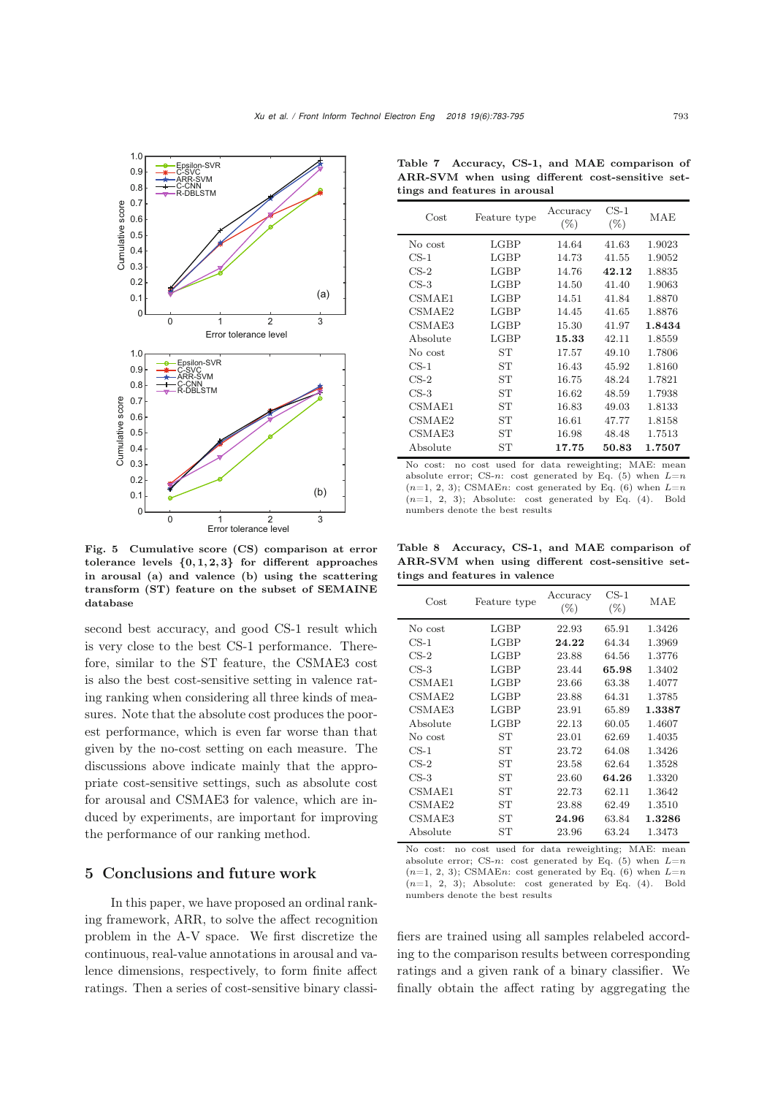

<span id="page-10-0"></span>Fig. 5 Cumulative score (CS) comparison at error tolerance levels  $\{0, 1, 2, 3\}$  for different approaches in arousal (a) and valence (b) using the scattering transform (ST) feature on the subset of SEMAINE database

second best accuracy, and good CS-1 result which is very close to the best CS-1 performance. Therefore, similar to the ST feature, the CSMAE3 cost is also the best cost-sensitive setting in valence rating ranking when considering all three kinds of measures. Note that the absolute cost produces the poorest performance, which is even far worse than that given by the no-cost setting on each measure. The discussions above indicate mainly that the appropriate cost-sensitive settings, such as absolute cost for arousal and CSMAE3 for valence, which are induced by experiments, are important for improving the performance of our ranking method.

## 5 Conclusions and future work

In this paper, we have proposed an ordinal ranking framework, ARR, to solve the affect recognition problem in the A-V space. We first discretize the continuous, real-value annotations in arousal and valence dimensions, respectively, to form finite affect ratings. Then a series of cost-sensitive binary classi-

Table 7 Accuracy, CS-1, and MAE comparison of ARR-SVM when using different cost-sensitive settings and features in arousal

| $\cos t$ | Feature type  | Accuracy<br>$(\%)$ | $CS-1$<br>$(\%)$ | MAE    |
|----------|---------------|--------------------|------------------|--------|
| No cost  | $_{\rm LGBP}$ | 14.64              | 41.63            | 1.9023 |
| $CS-1$   | $_{\rm LGBP}$ | 14.73              | 41.55            | 1.9052 |
| $CS-2$   | LGBP          | 14.76              | 42.12            | 1.8835 |
| $CS-3$   | LGBP          | 14.50              | 41.40            | 1.9063 |
| CSMAE1   | $_{\rm LGBP}$ | 14.51              | 41.84            | 1.8870 |
| CSMAE2   | $_{\rm LGBP}$ | 14.45              | 41.65            | 1.8876 |
| CSMAE3   | LGBP          | 15.30              | 41.97            | 1.8434 |
| Absolute | $_{\rm LGBP}$ | 15.33              | 42.11            | 1.8559 |
| No cost  | ST            | 17.57              | 49.10            | 1.7806 |
| $CS-1$   | <b>ST</b>     | 16.43              | 45.92            | 1.8160 |
| $CS-2$   | SТ            | 16.75              | 48.24            | 1.7821 |
| $CS-3$   | SТ            | 16.62              | 48.59            | 1.7938 |
| CSMAE1   | SТ            | 16.83              | 49.03            | 1.8133 |
| CSMAE2   | <b>ST</b>     | 16.61              | 47.77            | 1.8158 |
| CSMAE3   | SТ            | 16.98              | 48.48            | 1.7513 |
| Absolute | SТ            | 17.75              | 50.83            | 1.7507 |

No cost: no cost used for data reweighting; MAE: mean absolute error; CS-*n*: cost generated by Eq. (5) when *L*=*n*  $(n=1, 2, 3)$ ; CSMAEn: cost generated by Eq.  $(6)$  when  $L=n$  $(n=1, 2, 3)$ ; Absolute: cost generated by Eq.  $(4)$ . Bold numbers denote the best results

Table 8 Accuracy, CS-1, and MAE comparison of ARR-SVM when using different cost-sensitive settings and features in valence

| Cost     | Feature type  | Accuracy<br>$(\%)$ | $CS-1$<br>$(\%)$ | MAE    |
|----------|---------------|--------------------|------------------|--------|
| No cost  | $_{\rm LGBP}$ | 22.93              | 65.91            | 1.3426 |
| $CS-1$   | LGBP          | 24.22              | 64.34            | 1.3969 |
| $CS-2$   | $_{\rm LGBP}$ | 23.88              | 64.56            | 1.3776 |
| $CS-3$   | $_{\rm LGBP}$ | 23.44              | 65.98            | 1.3402 |
| CSMAE1   | LGBP          | 23.66              | 63.38            | 1.4077 |
| CSMAE2   | LGBP          | 23.88              | 64.31            | 1.3785 |
| CSMAE3   | $_{\rm LGBP}$ | 23.91              | 65.89            | 1.3387 |
| Absolute | LGBP          | 22.13              | 60.05            | 1.4607 |
| No cost  | SТ            | 23.01              | 62.69            | 1.4035 |
| $CS-1$   | SТ            | 23.72              | 64.08            | 1.3426 |
| $CS-2$   | SТ            | 23.58              | 62.64            | 1.3528 |
| $CS-3$   | SТ            | 23.60              | 64.26            | 1.3320 |
| CSMAE1   | SТ            | 22.73              | 62.11            | 1.3642 |
| CSMAE2   | SТ            | 23.88              | 62.49            | 1.3510 |
| CSMAE3   | SТ            | 24.96              | 63.84            | 1.3286 |
| Absolute | SТ            | 23.96              | 63.24            | 1.3473 |

No cost: no cost used for data reweighting; MAE: mean absolute error; CS-*n*: cost generated by Eq. (5) when *L*=*n*  $(n=1, 2, 3)$ ; CSMAEn: cost generated by Eq.  $(6)$  when  $L=n$  $(n=1, 2, 3)$ ; Absolute: cost generated by Eq.  $(4)$ . Bold numbers denote the best results

fiers are trained using all samples relabeled according to the comparison results between corresponding ratings and a given rank of a binary classifier. We finally obtain the affect rating by aggregating the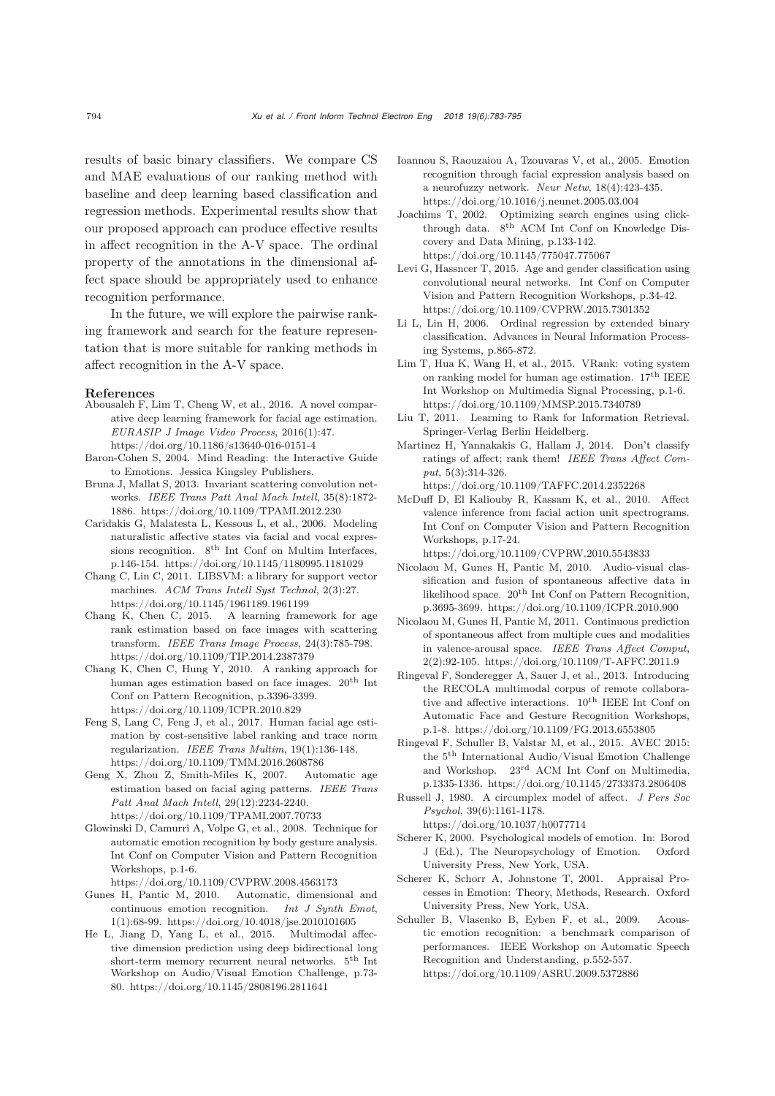results of basic binary classifiers. We compare CS and MAE evaluations of our ranking method with baseline and deep learning based classification and regression methods. Experimental results show that our proposed approach can produce effective results in affect recognition in the A-V space. The ordinal property of the annotations in the dimensional affect space should be appropriately used to enhance recognition performance.

In the future, we will explore the pairwise ranking framework and search for the feature representation that is more suitable for ranking methods in affect recognition in the A-V space.

#### References

- <span id="page-11-19"></span>Abousaleh F, Lim T, Cheng W, et al., 2016. A novel comparative deep learning framework for facial age estimation. *EURASIP J Image Video Process*, 2016(1):47. https://doi.org/10.1186/s13640-016-0151-4
- <span id="page-11-0"></span>Baron-Cohen S, 2004. Mind Reading: the Interactive Guide to Emotions. Jessica Kingsley Publishers.
- <span id="page-11-25"></span>Bruna J, Mallat S, 2013. Invariant scattering convolution networks. *IEEE Trans Patt Anal Mach Intell*, 35(8):1872- 1886. https://doi.org/10.1109/TPAMI.2012.230
- <span id="page-11-12"></span>Caridakis G, Malatesta L, Kessous L, et al., 2006. Modeling naturalistic affective states via facial and vocal expressions recognition.  $8^{th}$  Int Conf on Multim Interfaces, p.146-154. https://doi.org/10.1145/1180995.1181029
- <span id="page-11-26"></span>Chang C, Lin C, 2011. LIBSVM: a library for support vector machines. *ACM Trans Intell Syst Technol*, 2(3):27. https://doi.org/10.1145/1961189.1961199
- <span id="page-11-17"></span>Chang K, Chen C, 2015. A learning framework for age rank estimation based on face images with scattering transform. *IEEE Trans Image Process*, 24(3):785-798. https://doi.org/10.1109/TIP.2014.2387379
- <span id="page-11-16"></span>Chang K, Chen C, Hung Y, 2010. A ranking approach for human ages estimation based on face images. 20th Int Conf on Pattern Recognition, p.3396-3399. https://doi.org/10.1109/ICPR.2010.829
- <span id="page-11-20"></span>Feng S, Lang C, Feng J, et al., 2017. Human facial age estimation by cost-sensitive label ranking and trace norm regularization. *IEEE Trans Multim*, 19(1):136-148. https://doi.org/10.1109/TMM.2016.2608786
- <span id="page-11-22"></span>Geng X, Zhou Z, Smith-Miles K, 2007. Automatic age estimation based on facial aging patterns. *IEEE Trans Patt Anal Mach Intell*, 29(12):2234-2240. https://doi.org/10.1109/TPAMI.2007.70733
- <span id="page-11-6"></span>Glowinski D, Camurri A, Volpe G, et al., 2008. Technique for automatic emotion recognition by body gesture analysis. Int Conf on Computer Vision and Pattern Recognition Workshops, p.1-6.

https://doi.org/10.1109/CVPRW.2008.4563173

- <span id="page-11-21"></span>Gunes H, Pantic M, 2010. Automatic, dimensional and continuous emotion recognition. *Int J Synth Emot*, 1(1):68-99. https://doi.org/10.4018/jse.2010101605
- <span id="page-11-14"></span>He L, Jiang D, Yang L, et al., 2015. Multimodal affective dimension prediction using deep bidirectional long short-term memory recurrent neural networks.  $5^{\text{th}}$  Int Workshop on Audio/Visual Emotion Challenge, p.73- 80. https://doi.org/10.1145/2808196.2811641
- <span id="page-11-11"></span>Ioannou S, Raouzaiou A, Tzouvaras V, et al., 2005. Emotion recognition through facial expression analysis based on a neurofuzzy network. *Neur Netw*, 18(4):423-435. https://doi.org/10.1016/j.neunet.2005.03.004
- <span id="page-11-8"></span>Joachims T, 2002. Optimizing search engines using clickthrough data. 8<sup>th</sup> ACM Int Conf on Knowledge Discovery and Data Mining, p.133-142. https://doi.org/10.1145/775047.775067
- <span id="page-11-27"></span>Levi G, Hassncer T, 2015. Age and gender classification using convolutional neural networks. Int Conf on Computer Vision and Pattern Recognition Workshops, p.34-42. https://doi.org/10.1109/CVPRW.2015.7301352
- <span id="page-11-15"></span>Li L, Lin H, 2006. Ordinal regression by extended binary classification. Advances in Neural Information Processing Systems, p.865-872.
- <span id="page-11-18"></span>Lim T, Hua K, Wang H, et al., 2015. VRank: voting system on ranking model for human age estimation.  $17<sup>th</sup> IEEE$ Int Workshop on Multimedia Signal Processing, p.1-6. https://doi.org/10.1109/MMSP.2015.7340789
- <span id="page-11-9"></span>Liu T, 2011. Learning to Rank for Information Retrieval. Springer-Verlag Berlin Heidelberg.
- <span id="page-11-7"></span>Martinez H, Yannakakis G, Hallam J, 2014. Don't classify ratings of affect; rank them! *IEEE Trans Affect Comput*, 5(3):314-326.

https://doi.org/10.1109/TAFFC.2014.2352268

<span id="page-11-10"></span>McDuff D, El Kaliouby R, Kassam K, et al., 2010. Affect valence inference from facial action unit spectrograms. Int Conf on Computer Vision and Pattern Recognition Workshops, p.17-24.

https://doi.org/10.1109/CVPRW.2010.5543833

- <span id="page-11-5"></span>Nicolaou M, Gunes H, Pantic M, 2010. Audio-visual classification and fusion of spontaneous affective data in likelihood space.  $20^{th}$  Int Conf on Pattern Recognition, p.3695-3699. https://doi.org/10.1109/ICPR.2010.900
- <span id="page-11-13"></span>Nicolaou M, Gunes H, Pantic M, 2011. Continuous prediction of spontaneous affect from multiple cues and modalities in valence-arousal space. *IEEE Trans Affect Comput*, 2(2):92-105. https://doi.org/10.1109/T-AFFC.2011.9
- <span id="page-11-24"></span>Ringeval F, Sonderegger A, Sauer J, et al., 2013. Introducing the RECOLA multimodal corpus of remote collaborative and affective interactions.  $10^{\rm th}$  IEEE Int Conf on Automatic Face and Gesture Recognition Workshops, p.1-8. https://doi.org/10.1109/FG.2013.6553805
- <span id="page-11-23"></span>Ringeval F, Schuller B, Valstar M, et al., 2015. AVEC 2015: the 5th International Audio/Visual Emotion Challenge and Workshop. 23rd ACM Int Conf on Multimedia, p.1335-1336. https://doi.org/10.1145/2733373.2806408
- <span id="page-11-1"></span>Russell J, 1980. A circumplex model of affect. *J Pers Soc Psychol*, 39(6):1161-1178.

https://doi.org/10.1037/h0077714

- <span id="page-11-2"></span>Scherer K, 2000. Psychological models of emotion. In: Borod J (Ed.), The Neuropsychology of Emotion. Oxford University Press, New York, USA.
- <span id="page-11-3"></span>Scherer K, Schorr A, Johnstone T, 2001. Appraisal Processes in Emotion: Theory, Methods, Research. Oxford University Press, New York, USA.
- <span id="page-11-4"></span>Schuller B, Vlasenko B, Eyben F, et al., 2009. Acoustic emotion recognition: a benchmark comparison of performances. IEEE Workshop on Automatic Speech Recognition and Understanding, p.552-557. https://doi.org/10.1109/ASRU.2009.5372886